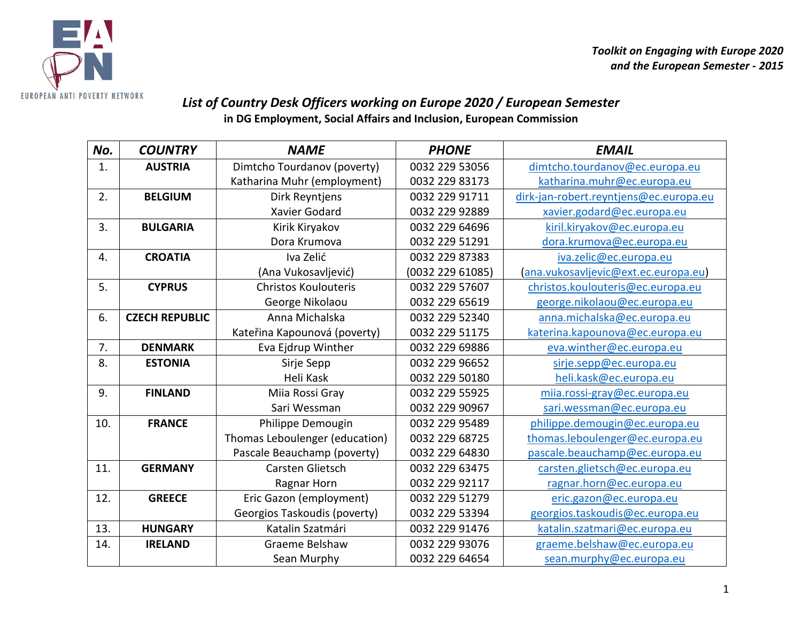

## *List of Country Desk Officers working on Europe 2020 / European Semester*

**in DG Employment, Social Affairs and Inclusion, European Commission**

| No. | <b>COUNTRY</b>        | <b>NAME</b>                    | <b>PHONE</b>     | <b>EMAIL</b>                           |
|-----|-----------------------|--------------------------------|------------------|----------------------------------------|
| 1.  | <b>AUSTRIA</b>        | Dimtcho Tourdanov (poverty)    | 0032 229 53056   | dimtcho.tourdanov@ec.europa.eu         |
|     |                       | Katharina Muhr (employment)    | 0032 229 83173   | katharina.muhr@ec.europa.eu            |
| 2.  | <b>BELGIUM</b>        | Dirk Reyntjens                 | 0032 229 91711   | dirk-jan-robert.reyntjens@ec.europa.eu |
|     |                       | <b>Xavier Godard</b>           | 0032 229 92889   | xavier.godard@ec.europa.eu             |
| 3.  | <b>BULGARIA</b>       | Kirik Kiryakov                 | 0032 229 64696   | kiril.kiryakov@ec.europa.eu            |
|     |                       | Dora Krumova                   | 0032 229 51291   | dora.krumova@ec.europa.eu              |
| 4.  | <b>CROATIA</b>        | Iva Zelić                      | 0032 229 87383   | iva.zelic@ec.europa.eu                 |
|     |                       | (Ana Vukosavljević)            | (0032 229 61085) | (ana.vukosavljevic@ext.ec.europa.eu)   |
| 5.  | <b>CYPRUS</b>         | <b>Christos Koulouteris</b>    | 0032 229 57607   | christos.koulouteris@ec.europa.eu      |
|     |                       | George Nikolaou                | 0032 229 65619   | george.nikolaou@ec.europa.eu           |
| 6.  | <b>CZECH REPUBLIC</b> | Anna Michalska                 | 0032 229 52340   | anna.michalska@ec.europa.eu            |
|     |                       | Kateřina Kapounová (poverty)   | 0032 229 51175   | katerina.kapounova@ec.europa.eu        |
| 7.  | <b>DENMARK</b>        | Eva Ejdrup Winther             | 0032 229 69886   | eva.winther@ec.europa.eu               |
| 8.  | <b>ESTONIA</b>        | Sirje Sepp                     | 0032 229 96652   | sirje.sepp@ec.europa.eu                |
|     |                       | Heli Kask                      | 0032 229 50180   | heli.kask@ec.europa.eu                 |
| 9.  | <b>FINLAND</b>        | Miia Rossi Gray                | 0032 229 55925   | miia.rossi-gray@ec.europa.eu           |
|     |                       | Sari Wessman                   | 0032 229 90967   | sari.wessman@ec.europa.eu              |
| 10. | <b>FRANCE</b>         | Philippe Demougin              | 0032 229 95489   | philippe.demougin@ec.europa.eu         |
|     |                       | Thomas Leboulenger (education) | 0032 229 68725   | thomas.leboulenger@ec.europa.eu        |
|     |                       | Pascale Beauchamp (poverty)    | 0032 229 64830   | pascale.beauchamp@ec.europa.eu         |
| 11. | <b>GERMANY</b>        | Carsten Glietsch               | 0032 229 63475   | carsten.glietsch@ec.europa.eu          |
|     |                       | Ragnar Horn                    | 0032 229 92117   | ragnar.horn@ec.europa.eu               |
| 12. | <b>GREECE</b>         | Eric Gazon (employment)        | 0032 229 51279   | eric.gazon@ec.europa.eu                |
|     |                       | Georgios Taskoudis (poverty)   | 0032 229 53394   | georgios.taskoudis@ec.europa.eu        |
| 13. | <b>HUNGARY</b>        | Katalin Szatmári               | 0032 229 91476   | katalin.szatmari@ec.europa.eu          |
| 14. | <b>IRELAND</b>        | Graeme Belshaw                 | 0032 229 93076   | graeme.belshaw@ec.europa.eu            |
|     |                       | Sean Murphy                    | 0032 229 64654   | sean.murphy@ec.europa.eu               |